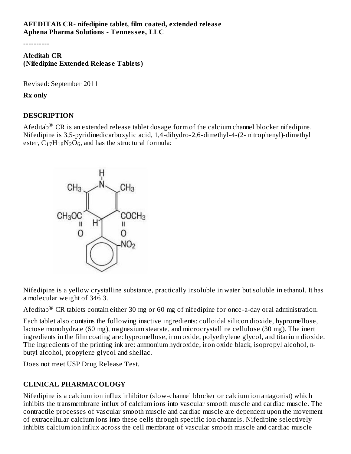#### **AFEDITAB CR- nifedipine tablet, film coated, extended releas e Aphena Pharma Solutions - Tenness ee, LLC**

----------

**Afeditab CR (Nifedipine Extended Releas e Tablets)**

Revised: September 2011

**Rx only**

### **DESCRIPTION**

Afeditab $^{\circledR}$  CR is an extended release tablet dosage form of the calcium channel blocker nifedipine. Nifedipine is 3,5-pyridinedicarboxylic acid, 1,4-dihydro-2,6-dimethyl-4-(2- nitrophenyl)-dimethyl ester,  $C_{17}H_{18}N_2O_6$ , and has the structural formula:



Nifedipine is a yellow crystalline substance, practically insoluble in water but soluble in ethanol. It has a molecular weight of 346.3.

Afeditab $^{\circledR}$  CR tablets contain either 30 mg or 60 mg of nifedipine for once-a-day oral administration.

Each tablet also contains the following inactive ingredients: colloidal silicon dioxide, hypromellose, lactose monohydrate (60 mg), magnesium stearate, and microcrystalline cellulose (30 mg). The inert ingredients in the film coating are: hypromellose, iron oxide, polyethylene glycol, and titanium dioxide. The ingredients of the printing ink are: ammonium hydroxide, iron oxide black, isopropyl alcohol, nbutyl alcohol, propylene glycol and shellac.

Does not meet USP Drug Release Test.

# **CLINICAL PHARMACOLOGY**

Nifedipine is a calcium ion influx inhibitor (slow-channel blocker or calcium ion antagonist) which inhibits the transmembrane influx of calcium ions into vascular smooth muscle and cardiac muscle. The contractile processes of vascular smooth muscle and cardiac muscle are dependent upon the movement of extracellular calcium ions into these cells through specific ion channels. Nifedipine selectively inhibits calcium ion influx across the cell membrane of vascular smooth muscle and cardiac muscle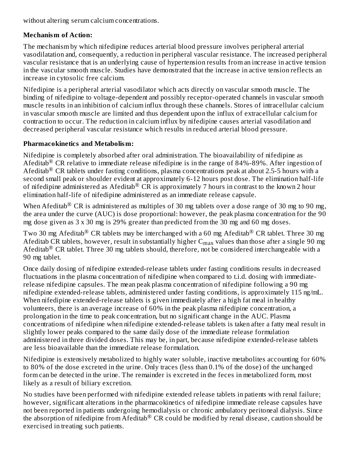without altering serum calcium concentrations.

### **Mechanism of Action:**

The mechanism by which nifedipine reduces arterial blood pressure involves peripheral arterial vasodilatation and, consequently, a reduction in peripheral vascular resistance. The increased peripheral vascular resistance that is an underlying cause of hypertension results from an increase in active tension in the vascular smooth muscle. Studies have demonstrated that the increase in active tension reflects an increase in cytosolic free calcium.

Nifedipine is a peripheral arterial vasodilator which acts directly on vascular smooth muscle. The binding of nifedipine to voltage-dependent and possibly receptor-operated channels in vascular smooth muscle results in an inhibition of calcium influx through these channels. Stores of intracellular calcium in vascular smooth muscle are limited and thus dependent upon the influx of extracellular calcium for contraction to occur. The reduction in calcium influx by nifedipine causes arterial vasodilation and decreased peripheral vascular resistance which results in reduced arterial blood pressure.

#### **Pharmacokinetics and Metabolism:**

Nifedipine is completely absorbed after oral administration. The bioavailability of nifedipine as Afeditab<sup>®</sup> CR relative to immediate release nifedipine is in the range of 84%-89%. After ingestion of Afeditab<sup>®</sup> CR tablets under fasting conditions, plasma concentrations peak at about 2.5-5 hours with a second small peak or shoulder evident at approximately 6-12 hours post dose. The elimination half-life of nifedipine administered as Afeditab<sup>®</sup> CR is approximately 7 hours in contrast to the known 2 hour elimination half-life of nifedipine administered as an immediate release capsule.

When Afeditab $^\circledR$  CR is administered as multiples of 30 mg tablets over a dose range of 30 mg to 90 mg, the area under the curve (AUC) is dose proportional: however, the peak plasma concentration for the 90 mg dose given as 3 x 30 mg is 29% greater than predicted from the 30 mg and 60 mg doses.

Two 30 mg Afeditab $^\circledR$  CR tablets may be interchanged with a 60 mg Afeditab $^\circledR$  CR tablet. Three 30 mg Afeditab CR tablets, however, result in substantially higher  $\rm C_{max}$  values than those after a single 90 mg Afeditab<sup>®</sup> CR tablet. Three 30 mg tablets should, therefore, not be considered interchangeable with a 90 mg tablet.

Once daily dosing of nifedipine extended-release tablets under fasting conditions results in decreased fluctuations in the plasma concentration of nifedipine when compared to t.i.d. dosing with immediaterelease nifedipine capsules. The mean peak plasma concentration of nifedipine following a 90 mg nifedipine extended-release tablets, administered under fasting conditions, is approximately 115 ng/mL. When nifedipine extended-release tablets is given immediately after a high fat meal in healthy volunteers, there is an average increase of 60% in the peak plasma nifedipine concentration, a prolongation in the time to peak concentration, but no significant change in the AUC. Plasma concentrations of nifedipine when nifedipine extended-release tablets is taken after a fatty meal result in slightly lower peaks compared to the same daily dose of the immediate release formulation administered in three divided doses. This may be, in part, because nifedipine extended-release tablets are less bioavailable than the immediate release formulation.

Nifedipine is extensively metabolized to highly water soluble, inactive metabolites accounting for 60% to 80% of the dose excreted in the urine. Only traces (less than 0.1% of the dose) of the unchanged form can be detected in the urine. The remainder is excreted in the feces in metabolized form, most likely as a result of biliary excretion.

No studies have been performed with nifedipine extended release tablets in patients with renal failure; however, significant alterations in the pharmacokinetics of nifedipine immediate release capsules have not been reported in patients undergoing hemodialysis or chronic ambulatory peritoneal dialysis. Since the absorption of nifedipine from Afeditab $^{\circledR}$  CR could be modified by renal disease, caution should be exercised in treating such patients.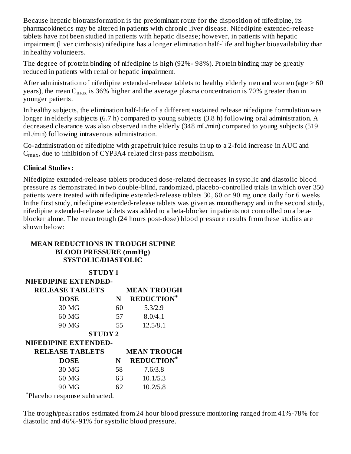Because hepatic biotransformation is the predominant route for the disposition of nifedipine, its pharmacokinetics may be altered in patients with chronic liver disease. Nifedipine extended-release tablets have not been studied in patients with hepatic disease; however, in patients with hepatic impairment (liver cirrhosis) nifedipine has a longer elimination half-life and higher bioavailability than in healthy volunteers.

The degree of protein binding of nifedipine is high (92%- 98%). Protein binding may be greatly reduced in patients with renal or hepatic impairment.

After administration of nifedipine extended-release tablets to healthy elderly men and women (age  $>60$ years), the mean C $_{\rm max}$  is 36% higher and the average plasma concentration is 70% greater than in younger patients.

In healthy subjects, the elimination half-life of a different sustained release nifedipine formulation was longer in elderly subjects (6.7 h) compared to young subjects (3.8 h) following oral administration. A decreased clearance was also observed in the elderly (348 mL/min) compared to young subjects (519 mL/min) following intravenous administration.

Co-administration of nifedipine with grapefruit juice results in up to a 2-fold increase in AUC and  $\rm C_{max}$ , due to inhibition of CYP3A4 related first-pass metabolism.

#### **Clinical Studies:**

Nifedipine extended-release tablets produced dose-related decreases in systolic and diastolic blood pressure as demonstrated in two double-blind, randomized, placebo-controlled trials in which over 350 patients were treated with nifedipine extended-release tablets 30, 60 or 90 mg once daily for 6 weeks. In the first study, nifedipine extended-release tablets was given as monotherapy and in the second study, nifedipine extended-release tablets was added to a beta-blocker in patients not controlled on a betablocker alone. The mean trough (24 hours post-dose) blood pressure results from these studies are shown below:

#### **MEAN REDUCTIONS IN TROUGH SUPINE BLOOD PRESSURE (mmHg) SYSTOLIC/DIASTOLIC**

| <b>STUDY 1</b>         |    |                    |  |  |  |  |
|------------------------|----|--------------------|--|--|--|--|
| NIFEDIPINE EXTENDED-   |    |                    |  |  |  |  |
| <b>RELEASE TABLETS</b> |    | <b>MEAN TROUGH</b> |  |  |  |  |
| <b>DOSE</b>            | N  | <b>REDUCTION*</b>  |  |  |  |  |
| 30 MG                  | 60 | 5.3/2.9            |  |  |  |  |
| 60 MG                  | 57 | 8.0/4.1            |  |  |  |  |
| 90 MG                  | 55 | 12.5/8.1           |  |  |  |  |
| <b>STUDY 2</b>         |    |                    |  |  |  |  |
| NIFEDIPINE EXTENDED-   |    |                    |  |  |  |  |
| <b>RELEASE TABLETS</b> |    | <b>MEAN TROUGH</b> |  |  |  |  |
| <b>DOSE</b>            | N  | <b>REDUCTION*</b>  |  |  |  |  |
| 30 MG                  | 58 | 7.6/3.8            |  |  |  |  |
| 60 MG                  | 63 | 10.1/5.3           |  |  |  |  |
| 90 MG                  | 62 | 10.2/5.8           |  |  |  |  |

Placebo response subtracted. \*

The trough/peak ratios estimated from 24 hour blood pressure monitoring ranged from 41%-78% for diastolic and 46%-91% for systolic blood pressure.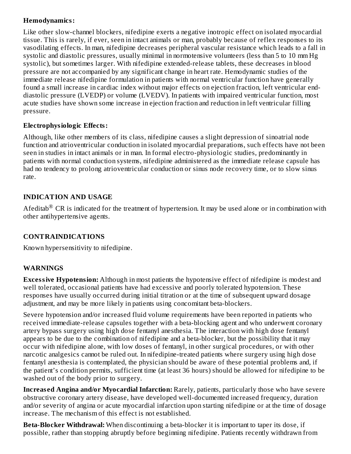### **Hemodynamics:**

Like other slow-channel blockers, nifedipine exerts a negative inotropic effect on isolated myocardial tissue. This is rarely, if ever, seen in intact animals or man, probably because of reflex responses to its vasodilating effects. In man, nifedipine decreases peripheral vascular resistance which leads to a fall in systolic and diastolic pressures, usually minimal in normotensive volunteers (less than 5 to 10 mm Hg systolic), but sometimes larger. With nifedipine extended-release tablets, these decreases in blood pressure are not accompanied by any significant change in heart rate. Hemodynamic studies of the immediate release nifedipine formulation in patients with normal ventricular function have generally found a small increase in cardiac index without major effects on ejection fraction, left ventricular enddiastolic pressure (LVEDP) or volume (LVEDV). In patients with impaired ventricular function, most acute studies have shown some increase in ejection fraction and reduction in left ventricular filling pressure.

### **Electrophysiologic Effects:**

Although, like other members of its class, nifedipine causes a slight depression of sinoatrial node function and atrioventricular conduction in isolated myocardial preparations, such effects have not been seen in studies in intact animals or in man. In formal electro-physiologic studies, predominantly in patients with normal conduction systems, nifedipine administered as the immediate release capsule has had no tendency to prolong atrioventricular conduction or sinus node recovery time, or to slow sinus rate.

### **INDICATION AND USAGE**

Afeditab $^{\circledR}$  CR is indicated for the treatment of hypertension. It may be used alone or in combination with other antihypertensive agents.

# **CONTRAINDICATIONS**

Known hypersensitivity to nifedipine.

### **WARNINGS**

**Excessive Hypotension:** Although in most patients the hypotensive effect of nifedipine is modest and well tolerated, occasional patients have had excessive and poorly tolerated hypotension. These responses have usually occurred during initial titration or at the time of subsequent upward dosage adjustment, and may be more likely in patients using concomitant beta-blockers.

Severe hypotension and/or increased fluid volume requirements have been reported in patients who received immediate-release capsules together with a beta-blocking agent and who underwent coronary artery bypass surgery using high dose fentanyl anesthesia. The interaction with high dose fentanyl appears to be due to the combination of nifedipine and a beta-blocker, but the possibility that it may occur with nifedipine alone, with low doses of fentanyl, in other surgical procedures, or with other narcotic analgesics cannot be ruled out. In nifedipine-treated patients where surgery using high dose fentanyl anesthesia is contemplated, the physician should be aware of these potential problems and, if the patient's condition permits, sufficient time (at least 36 hours) should be allowed for nifedipine to be washed out of the body prior to surgery.

**Increas ed Angina and/or Myocardial Infarction:** Rarely, patients, particularly those who have severe obstructive coronary artery disease, have developed well-documented increased frequency, duration and/or severity of angina or acute myocardial infarction upon starting nifedipine or at the time of dosage increase. The mechanism of this effect is not established.

**Beta-Blocker Withdrawal:** When discontinuing a beta-blocker it is important to taper its dose, if possible, rather than stopping abruptly before beginning nifedipine. Patients recently withdrawn from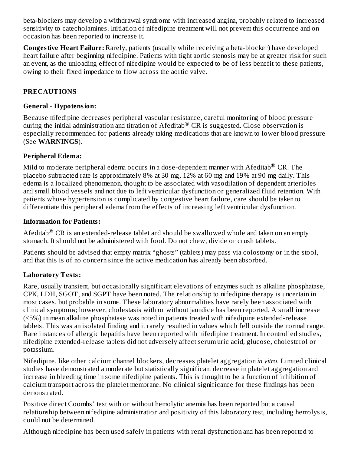beta-blockers may develop a withdrawal syndrome with increased angina, probably related to increased sensitivity to catecholamines. Initiation of nifedipine treatment will not prevent this occurrence and on occasion has been reported to increase it.

**Congestive Heart Failure:** Rarely, patients (usually while receiving a beta-blocker) have developed heart failure after beginning nifedipine. Patients with tight aortic stenosis may be at greater risk for such an event, as the unloading effect of nifedipine would be expected to be of less benefit to these patients, owing to their fixed impedance to flow across the aortic valve.

### **PRECAUTIONS**

### **General - Hypotension:**

Because nifedipine decreases peripheral vascular resistance, careful monitoring of blood pressure during the initial administration and titration of Afeditab® CR is suggested. Close observation is especially recommended for patients already taking medications that are known to lower blood pressure (See **WARNINGS**).

### **Peripheral Edema:**

Mild to moderate peripheral edema occurs in a dose-dependent manner with  $\rm Afeditab^®$  CR. The placebo subtracted rate is approximately 8% at 30 mg, 12% at 60 mg and 19% at 90 mg daily. This edema is a localized phenomenon, thought to be associated with vasodilation of dependent arterioles and small blood vessels and not due to left ventricular dysfunction or generalized fluid retention. With patients whose hypertension is complicated by congestive heart failure, care should be taken to differentiate this peripheral edema from the effects of increasing left ventricular dysfunction.

### **Information for Patients:**

Afeditab $^\circledR$  CR is an extended-release tablet and should be swallowed whole and taken on an empty stomach. It should not be administered with food. Do not chew, divide or crush tablets.

Patients should be advised that empty matrix "ghosts" (tablets) may pass via colostomy or in the stool, and that this is of no concern since the active medication has already been absorbed.

# **Laboratory Tests:**

Rare, usually transient, but occasionally significant elevations of enzymes such as alkaline phosphatase, CPK, LDH, SGOT, and SGPT have been noted. The relationship to nifedipine therapy is uncertain in most cases, but probable in some. These laboratory abnormalities have rarely been associated with clinical symptoms; however, cholestasis with or without jaundice has been reported. A small increase (<5%) in mean alkaline phosphatase was noted in patients treated with nifedipine extended-release tablets. This was an isolated finding and it rarely resulted in values which fell outside the normal range. Rare instances of allergic hepatitis have been reported with nifedipine treatment. In controlled studies, nifedipine extended-release tablets did not adversely affect serum uric acid, glucose, cholesterol or potassium.

Nifedipine, like other calcium channel blockers, decreases platelet aggregation *in vitro*. Limited clinical studies have demonstrated a moderate but statistically significant decrease in platelet aggregation and increase in bleeding time in some nifedipine patients. This is thought to be a function of inhibition of calcium transport across the platelet membrane. No clinical significance for these findings has been demonstrated.

Positive direct Coombs' test with or without hemolytic anemia has been reported but a causal relationship between nifedipine administration and positivity of this laboratory test, including hemolysis, could not be determined.

Although nifedipine has been used safely in patients with renal dysfunction and has been reported to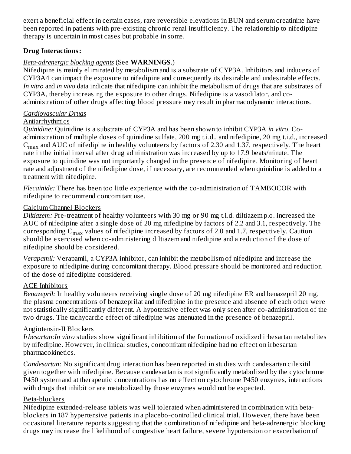exert a beneficial effect in certain cases, rare reversible elevations in BUN and serum creatinine have been reported in patients with pre-existing chronic renal insufficiency. The relationship to nifedipine therapy is uncertain in most cases but probable in some.

#### **Drug Interactions:**

#### *Beta-adrenergic blocking agents* (See **WARNINGS**.)

Nifedipine is mainly eliminated by metabolism and is a substrate of CYP3A. Inhibitors and inducers of CYP3A4 can impact the exposure to nifedipine and consequently its desirable and undesirable effects. *In vitro* and *in vivo* data indicate that nifedipine can inhibit the metabolism of drugs that are substrates of CYP3A, thereby increasing the exposure to other drugs. Nifedipine is a vasodilator, and coadministration of other drugs affecting blood pressure may result in pharmacodynamic interactions.

#### *Cardiovascular Drugs*

#### Antiarrhythmics

*Quinidine:* Quinidine is a substrate of CYP3A and has been shown to inhibit CYP3A *in vitro*. Coadministration of multiple doses of quinidine sulfate, 200 mg t.i.d., and nifedipine, 20 mg t.i.d., increased  $\rm{C_{max}}$  and AUC of nifedipine in healthy volunteers by factors of 2.30 and 1.37, respectively. The heart rate in the initial interval after drug administration was increased by up to 17.9 beats/minute. The exposure to quinidine was not importantly changed in the presence of nifedipine. Monitoring of heart rate and adjustment of the nifedipine dose, if necessary, are recommended when quinidine is added to a treatment with nifedipine.

*Flecainide:* There has been too little experience with the co-administration of TAMBOCOR with nifedipine to recommend concomitant use.

#### Calcium Channel Blockers

*Diltiazem:* Pre-treatment of healthy volunteers with 30 mg or 90 mg t.i.d. diltiazem p.o. increased the AUC of nifedipine after a single dose of 20 mg nifedipine by factors of 2.2 and 3.1, respectively. The corresponding  $\rm{C_{max}}$  values of nifedipine increased by factors of 2.0 and 1.7, respectively. Caution should be exercised when co-administering diltiazem and nifedipine and a reduction of the dose of nifedipine should be considered.

*Verapamil:* Verapamil, a CYP3A inhibitor, can inhibit the metabolism of nifedipine and increase the exposure to nifedipine during concomitant therapy. Blood pressure should be monitored and reduction of the dose of nifedipine considered.

#### ACE Inhibitors

*Benazepril:* In healthy volunteers receiving single dose of 20 mg nifedipine ER and benazepril 20 mg, the plasma concentrations of benazeprilat and nifedipine in the presence and absence of each other were not statistically significantly different. A hypotensive effect was only seen after co-administration of the two drugs. The tachycardic effect of nifedipine was attenuated in the presence of benazepril.

#### Angiotensin-II Blockers

*Irbesartan:In vitro* studies show significant inhibition of the formation of oxidized irbesartan metabolites by nifedipine. However, in clinical studies, concomitant nifedipine had no effect on irbesartan pharmacokinetics.

*Candesartan:* No significant drug interaction has been reported in studies with candesartan cilexitil given together with nifedipine. Because candesartan is not significantly metabolized by the cytochrome P450 system and at therapeutic concentrations has no effect on cytochrome P450 enzymes, interactions with drugs that inhibit or are metabolized by those enzymes would not be expected.

#### Beta-blockers

Nifedipine extended-release tablets was well tolerated when administered in combination with betablockers in 187 hypertensive patients in a placebo-controlled clinical trial. However, there have been occasional literature reports suggesting that the combination of nifedipine and beta-adrenergic blocking drugs may increase the likelihood of congestive heart failure, severe hypotension or exacerbation of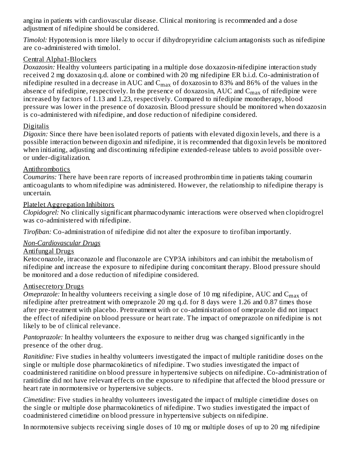angina in patients with cardiovascular disease. Clinical monitoring is recommended and a dose adjustment of nifedipine should be considered.

*Timolol:* Hypotension is more likely to occur if dihydropryridine calcium antagonists such as nifedipine are co-administered with timolol.

#### Central Alpha1-Blockers

*Doxazosin:* Healthy volunteers participating in a multiple dose doxazosin-nifedipine interaction study received 2 mg doxazosin q.d. alone or combined with 20 mg nifedipine ER b.i.d. Co-administration of nifedipine resulted in a decrease in AUC and  $\rm C_{max}$  of doxazosin to 83% and 86% of the values in the absence of nifedipine, respectively. In the presence of doxazosin,  $\rm AUC$  and  $\rm C_{max}$  of nifedipine were increased by factors of 1.13 and 1.23, respectively. Compared to nifedipine monotherapy, blood pressure was lower in the presence of doxazosin. Blood pressure should be monitored when doxazosin is co-administered with nifedipine, and dose reduction of nifedipine considered.

#### **Digitalis**

*Digoxin:* Since there have been isolated reports of patients with elevated digoxin levels, and there is a possible interaction between digoxin and nifedipine, it is recommended that digoxin levels be monitored when initiating, adjusting and discontinuing nifedipine extended-release tablets to avoid possible overor under-digitalization.

#### Antithrombotics

*Coumarins:* There have been rare reports of increased prothrombin time in patients taking coumarin anticoagulants to whom nifedipine was administered. However, the relationship to nifedipine therapy is uncertain.

### Platelet Aggregation Inhibitors

*Clopidogrel:* No clinically significant pharmacodynamic interactions were observed when clopidrogrel was co-administered with nifedipine.

*Tirofiban:* Co-administration of nifedipine did not alter the exposure to tirofiban importantly.

### *Non-Cardiovascular Drugs*

#### Antifungal Drugs

Ketoconazole, itraconazole and fluconazole are CYP3A inhibitors and can inhibit the metabolism of nifedipine and increase the exposure to nifedipine during concomitant therapy. Blood pressure should be monitored and a dose reduction of nifedipine considered.

### Antisecretory Drugs

*Omeprazole:* In healthy volunteers receiving a single dose of 10 mg nifedipine,  $\text{AUC}$  and  $\text{C}_{\max}$  of nifedipine after pretreatment with omeprazole 20 mg q.d. for 8 days were 1.26 and 0.87 times those after pre-treatment with placebo. Pretreatment with or co-administration of omeprazole did not impact the effect of nifedipine on blood pressure or heart rate. The impact of omeprazole on nifedipine is not likely to be of clinical relevance.

*Pantoprazole:* In healthy volunteers the exposure to neither drug was changed significantly in the presence of the other drug.

*Ranitidine:* Five studies in healthy volunteers investigated the impact of multiple ranitidine doses on the single or multiple dose pharmacokinetics of nifedipine. Two studies investigated the impact of coadministered ranitidine on blood pressure in hypertensive subjects on nifedipine. Co-administration of ranitidine did not have relevant effects on the exposure to nifedipine that affected the blood pressure or heart rate in normotensive or hypertensive subjects.

*Cimetidine:* Five studies in healthy volunteers investigated the impact of multiple cimetidine doses on the single or multiple dose pharmacokinetics of nifedipine. Two studies investigated the impact of coadministered cimetidine on blood pressure in hypertensive subjects on nifedipine.

In normotensive subjects receiving single doses of 10 mg or multiple doses of up to 20 mg nifedipine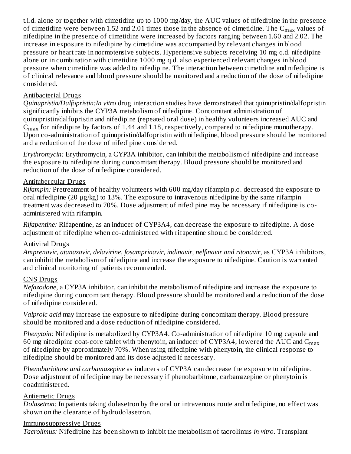t.i.d. alone or together with cimetidine up to 1000 mg/day, the AUC values of nifedipine in the presence of cimetidine were between 1.52 and 2.01 times those in the absence of cimetidine. The  $\mathsf{C}_{\max}$  values of nifedipine in the presence of cimetidine were increased by factors ranging between 1.60 and 2.02. The increase in exposure to nifedipine by cimetidine was accompanied by relevant changes in blood pressure or heart rate in normotensive subjects. Hypertensive subjects receiving 10 mg q.d. nifedipine alone or in combination with cimetidine 1000 mg q.d. also experienced relevant changes in blood pressure when cimetidine was added to nifedipine. The interaction between cimetidine and nifedipine is of clinical relevance and blood pressure should be monitored and a reduction of the dose of nifedipine considered.

#### Antibacterial Drugs

*Quinupristin/Dalfopristin:In vitro* drug interaction studies have demonstrated that quinupristin/dalfopristin significantly inhibits the CYP3A metabolism of nifedipine. Concomitant administration of quinupristin/dalfopristin and nifedipine (repeated oral dose) in healthy volunteers increased AUC and  $\rm{C_{max}}$  for nifedipine by factors of 1.44 and 1.18, respectively, compared to nifedipine monotherapy. Upon co-administration of quinupristin/dalfopristin with nifedipine, blood pressure should be monitored and a reduction of the dose of nifedipine considered.

*Erythromycin:* Erythromycin, a CYP3A inhibitor, can inhibit the metabolism of nifedipine and increase the exposure to nifedipine during concomitant therapy. Blood pressure should be monitored and reduction of the dose of nifedipine considered.

#### Antitubercular Drugs

*Rifampin:* Pretreatment of healthy volunteers with 600 mg/day rifampin p.o. decreased the exposure to oral nifedipine (20 μg/kg) to 13%. The exposure to intravenous nifedipine by the same rifampin treatment was decreased to 70%. Dose adjustment of nifedipine may be necessary if nifedipine is coadministered with rifampin.

*Rifapentine:* Rifapentine, as an inducer of CYP3A4, can decrease the exposure to nifedipine. A dose adjustment of nifedipine when co-administered with rifapentine should be considered.

#### Antiviral Drugs

*Amprenavir, atanazavir, delavirine, fosamprinavir, indinavir*, *nelfinavir and ritonavir*, as CYP3A inhibitors, can inhibit the metabolism of nifedipine and increase the exposure to nifedipine. Caution is warranted and clinical monitoring of patients recommended.

#### CNS Drugs

*Nefazodone,* a CYP3A inhibitor, can inhibit the metabolism of nifedipine and increase the exposure to nifedipine during concomitant therapy. Blood pressure should be monitored and a reduction of the dose of nifedipine considered.

*Valproic acid* may increase the exposure to nifedipine during concomitant therapy. Blood pressure should be monitored and a dose reduction of nifedipine considered.

*Phenytoin:* Nifedipine is metabolized by CYP3A4. Co-administration of nifedipine 10 mg capsule and 60 mg nifedipine coat-core tablet with phenytoin, an inducer of CYP3A4, lowered the AUC and  $\mathsf{C}_{\max}$ of nifedipine by approximately 70%. When using nifedipine with phenytoin, the clinical response to nifedipine should be monitored and its dose adjusted if necessary.

*Phenobarbitone and carbamazepine* as inducers of CYP3A can decrease the exposure to nifedipine. Dose adjustment of nifedipine may be necessary if phenobarbitone, carbamazepine or phenytoin is coadministered.

#### Antiemetic Drugs

*Dolasetron:* In patients taking dolasetron by the oral or intravenous route and nifedipine, no effect was shown on the clearance of hydrodolasetron.

#### Immunosuppressive Drugs

*Tacrolimus:* Nifedipine has been shown to inhibit the metabolism of tacrolimus *in vitro*. Transplant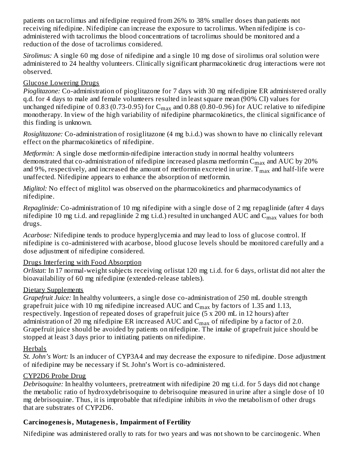patients on tacrolimus and nifedipine required from 26% to 38% smaller doses than patients not receiving nifedipine. Nifedipine can increase the exposure to tacrolimus. When nifedipine is coadministered with tacrolimus the blood concentrations of tacrolimus should be monitored and a reduction of the dose of tacrolimus considered.

*Sirolimus:* A single 60 mg dose of nifedipine and a single 10 mg dose of sirolimus oral solution were administered to 24 healthy volunteers. Clinically significant pharmacokinetic drug interactions were not observed.

### Glucose Lowering Drugs

*Pioglitazone:* Co-administration of pioglitazone for 7 days with 30 mg nifedipine ER administered orally q.d. for 4 days to male and female volunteers resulted in least square mean (90% CI) values for unchanged nifedipine of 0.83 (0.73-0.95) for  $\mathsf{C}_{\max}$  and 0.88 (0.80-0.96) for AUC relative to nifedipine monotherapy. In view of the high variability of nifedipine pharmacokinetics, the clinical significance of this finding is unknown.

*Rosiglitazone:* Co-administration of rosiglitazone (4 mg b.i.d.) was shown to have no clinically relevant effect on the pharmacokinetics of nifedipine.

*Metformin:* A single dose metformin-nifedipine interaction study in normal healthy volunteers demonstrated that co-administration of nifedipine increased plasma metformin  $\rm{C_{max}}$  and  $\rm{AUC}$  by 20% and 9%, respectively, and increased the amount of metformin excreted in urine.  $\rm T_{max}$  and half-life were unaffected. Nifedipine appears to enhance the absorption of metformin.

*Miglitol:* No effect of miglitol was observed on the pharmacokinetics and pharmacodynamics of nifedipine.

*Repaglinide:* Co-administration of 10 mg nifedipine with a single dose of 2 mg repaglinide (after 4 days nifedipine 10 mg t.i.d. and repaglinide 2 mg t.i.d.) resulted in unchanged AUC and  $\rm{C_{max}}$  values for both drugs.

*Acarbose:* Nifedipine tends to produce hyperglycemia and may lead to loss of glucose control. If nifedipine is co-administered with acarbose, blood glucose levels should be monitored carefully and a dose adjustment of nifedipine considered.

#### Drugs Interfering with Food Absorption

*Orlistat:* In 17 normal-weight subjects receiving orlistat 120 mg t.i.d. for 6 days, orlistat did not alter the bioavailability of 60 mg nifedipine (extended-release tablets).

### Dietary Supplements

*Grapefruit Juice:* In healthy volunteers, a single dose co-administration of 250 mL double strength grapefruit juice with 10 mg nifedipine increased AUC and  $\rm{C_{max}}$  by factors of 1.35 and 1.13, respectively. Ingestion of repeated doses of grapefruit juice (5 x 200 mL in 12 hours) after administration of 20 mg nifedipine ER increased AUC and  $\rm C_{max}$  of nifedipine by a factor of 2.0. Grapefruit juice should be avoided by patients on nifedipine. The intake of grapefruit juice should be stopped at least 3 days prior to initiating patients on nifedipine.

### **Herbals**

*St. John's Wort:* Is an inducer of CYP3A4 and may decrease the exposure to nifedipine. Dose adjustment of nifedipine may be necessary if St. John's Wort is co-administered.

### CYP2D6 Probe Drug

*Debrisoquine:* In healthy volunteers, pretreatment with nifedipine 20 mg t.i.d. for 5 days did not change the metabolic ratio of hydroxydebrisoquine to debrisoquine measured in urine after a single dose of 10 mg debrisoquine. Thus, it is improbable that nifedipine inhibits *in vivo* the metabolism of other drugs that are substrates of CYP2D6.

### **Carcinogenesis, Mutagenesis, Impairment of Fertility**

Nifedipine was administered orally to rats for two years and was not shown to be carcinogenic. When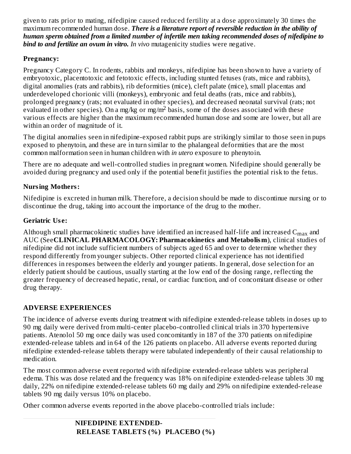given to rats prior to mating, nifedipine caused reduced fertility at a dose approximately 30 times the maximum recommended human dose. *There is a literature report of reversible reduction in the ability of human sperm obtained from a limited number of infertile men taking recommended doses of nifedipine to bind to and fertilize an ovum in vitro. In vivo* mutagenicity studies were negative.

### **Pregnancy:**

Pregnancy Category C. In rodents, rabbits and monkeys, nifedipine has been shown to have a variety of embryotoxic, placentotoxic and fetotoxic effects, including stunted fetuses (rats, mice and rabbits), digital anomalies (rats and rabbits), rib deformities (mice), cleft palate (mice), small placentas and underdeveloped chorionic villi (monkeys), embryonic and fetal deaths (rats, mice and rabbits), prolonged pregnancy (rats; not evaluated in other species), and decreased neonatal survival (rats; not evaluated in other species). On a mg/kg or mg/m<sup>2</sup> basis, some of the doses associated with these various effects are higher than the maximum recommended human dose and some are lower, but all are within an order of magnitude of it.

The digital anomalies seen in nifedipine-exposed rabbit pups are strikingly similar to those seen in pups exposed to phenytoin, and these are in turn similar to the phalangeal deformities that are the most common malformation seen in human children with *in utero* exposure to phenytoin.

There are no adequate and well-controlled studies in pregnant women. Nifedipine should generally be avoided during pregnancy and used only if the potential benefit justifies the potential risk to the fetus.

### **Nursing Mothers:**

Nifedipine is excreted in human milk. Therefore, a decision should be made to discontinue nursing or to discontinue the drug, taking into account the importance of the drug to the mother.

### **Geriatric Us e:**

Although small pharmacokinetic studies have identified an increased half-life and increased  $\mathsf{C}_{\max}$  and AUC (See**CLINICAL PHARMACOLOGY: Pharmacokinetics and Metabolism**), clinical studies of nifedipine did not include sufficient numbers of subjects aged 65 and over to determine whether they respond differently from younger subjects. Other reported clinical experience has not identified differences in responses between the elderly and younger patients. In general, dose selection for an elderly patient should be cautious, usually starting at the low end of the dosing range, reflecting the greater frequency of decreased hepatic, renal, or cardiac function, and of concomitant disease or other drug therapy.

# **ADVERSE EXPERIENCES**

The incidence of adverse events during treatment with nifedipine extended-release tablets in doses up to 90 mg daily were derived from multi-center placebo-controlled clinical trials in 370 hypertensive patients. Atenolol 50 mg once daily was used concomitantly in 187 of the 370 patients on nifedipine extended-release tablets and in 64 of the 126 patients on placebo. All adverse events reported during nifedipine extended-release tablets therapy were tabulated independently of their causal relationship to medication.

The most common adverse event reported with nifedipine extended-release tablets was peripheral edema. This was dose related and the frequency was 18% on nifedipine extended-release tablets 30 mg daily, 22% on nifedipine extended-release tablets 60 mg daily and 29% on nifedipine extended-release tablets 90 mg daily versus 10% on placebo.

Other common adverse events reported in the above placebo-controlled trials include: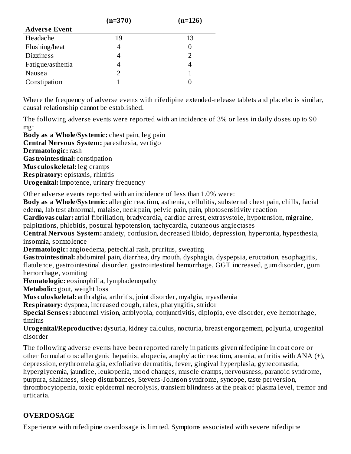|                      | $(n=370)$ | $(n=126)$ |
|----------------------|-----------|-----------|
| <b>Adverse Event</b> |           |           |
| Headache             | 19        | 13        |
| Flushing/heat        |           |           |
| <b>Dizziness</b>     |           |           |
| Fatigue/asthenia     |           |           |
| Nausea               |           |           |
| Constipation         |           |           |

Where the frequency of adverse events with nifedipine extended-release tablets and placebo is similar, causal relationship cannot be established.

The following adverse events were reported with an incidence of 3% or less in daily doses up to 90 mg:

**Body as a Whole/Systemic:** chest pain, leg pain **Central Nervous System:** paresthesia, vertigo **Dermatologic:** rash **Gastrointestinal:** constipation **Mus culoskeletal:** leg cramps **Respiratory:** epistaxis, rhinitis **Urogenital:** impotence, urinary frequency

Other adverse events reported with an incidence of less than 1.0% were:

**Body as a Whole/Systemic:** allergic reaction, asthenia, cellulitis, substernal chest pain, chills, facial edema, lab test abnormal, malaise, neck pain, pelvic pain, pain, photosensitivity reaction

**Cardiovas cular:** atrial fibrillation, bradycardia, cardiac arrest, extrasystole, hypotension, migraine, palpitations, phlebitis, postural hypotension, tachycardia, cutaneous angiectases

**Central Nervous System:** anxiety, confusion, decreased libido, depression, hypertonia, hypesthesia, insomnia, somnolence

**Dermatologic:** angioedema, petechial rash, pruritus, sweating

**Gastrointestinal:** abdominal pain, diarrhea, dry mouth, dysphagia, dyspepsia, eructation, esophagitis, flatulence, gastrointestinal disorder, gastrointestinal hemorrhage, GGT increased, gum disorder, gum hemorrhage, vomiting

**Hematologic:** eosinophilia, lymphadenopathy

**Metabolic:** gout, weight loss

**Mus culoskeletal:** arthralgia, arthritis, joint disorder, myalgia, myasthenia

**Respiratory:** dyspnea, increased cough, rales, pharyngitis, stridor

**Special Sens es:** abnormal vision, amblyopia, conjunctivitis, diplopia, eye disorder, eye hemorrhage, tinnitus

**Urogenital/Reproductive:** dysuria, kidney calculus, nocturia, breast engorgement, polyuria, urogenital disorder

The following adverse events have been reported rarely in patients given nifedipine in coat core or other formulations: allergenic hepatitis, alopecia, anaphylactic reaction, anemia, arthritis with ANA (+), depression, erythromelalgia, exfoliative dermatitis, fever, gingival hyperplasia, gynecomastia, hyperglycemia, jaundice, leukopenia, mood changes, muscle cramps, nervousness, paranoid syndrome, purpura, shakiness, sleep disturbances, Stevens-Johnson syndrome, syncope, taste perversion, thrombocytopenia, toxic epidermal necrolysis, transient blindness at the peak of plasma level, tremor and urticaria.

#### **OVERDOSAGE**

Experience with nifedipine overdosage is limited. Symptoms associated with severe nifedipine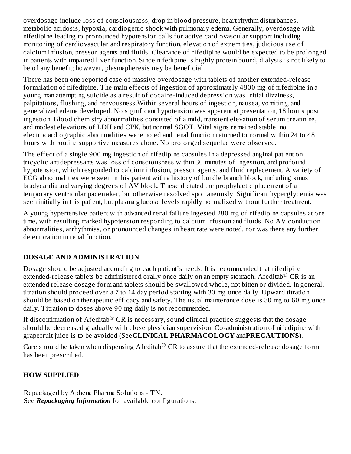overdosage include loss of consciousness, drop in blood pressure, heart rhythm disturbances, metabolic acidosis, hypoxia, cardiogenic shock with pulmonary edema. Generally, overdosage with nifedipine leading to pronounced hypotension calls for active cardiovascular support including monitoring of cardiovascular and respiratory function, elevation of extremities, judicious use of calcium infusion, pressor agents and fluids. Clearance of nifedipine would be expected to be prolonged in patients with impaired liver function. Since nifedipine is highly protein bound, dialysis is not likely to be of any benefit; however, plasmapheresis may be beneficial.

There has been one reported case of massive overdosage with tablets of another extended-release formulation of nifedipine. The main effects of ingestion of approximately 4800 mg of nifedipine in a young man attempting suicide as a result of cocaine-induced depression was initial dizziness, palpitations, flushing, and nervousness.Within several hours of ingestion, nausea, vomiting, and generalized edema developed. No significant hypotension was apparent at presentation, 18 hours post ingestion. Blood chemistry abnormalities consisted of a mild, transient elevation of serum creatinine, and modest elevations of LDH and CPK, but normal SGOT. Vital signs remained stable, no electrocardiographic abnormalities were noted and renal function returned to normal within 24 to 48 hours with routine supportive measures alone. No prolonged sequelae were observed.

The effect of a single 900 mg ingestion of nifedipine capsules in a depressed anginal patient on tricyclic antidepressants was loss of consciousness within 30 minutes of ingestion, and profound hypotension, which responded to calcium infusion, pressor agents, and fluid replacement. A variety of ECG abnormalities were seen in this patient with a history of bundle branch block, including sinus bradycardia and varying degrees of AV block. These dictated the prophylactic placement of a temporary ventricular pacemaker, but otherwise resolved spontaneously. Significant hyperglycemia was seen initially in this patient, but plasma glucose levels rapidly normalized without further treatment.

A young hypertensive patient with advanced renal failure ingested 280 mg of nifedipine capsules at one time, with resulting marked hypotension responding to calcium infusion and fluids. No AV conduction abnormalities, arrhythmias, or pronounced changes in heart rate were noted, nor was there any further deterioration in renal function.

### **DOSAGE AND ADMINISTRATION**

Dosage should be adjusted according to each patient's needs. It is recommended that nifedipine extended-release tablets be administered orally once daily on an empty stomach. Afeditab $^\circledR$  CR is an extended release dosage form and tablets should be swallowed whole, not bitten or divided. In general, titration should proceed over a 7 to 14 day period starting with 30 mg once daily. Upward titration should be based on therapeutic efficacy and safety. The usual maintenance dose is 30 mg to 60 mg once daily. Titration to doses above 90 mg daily is not recommended.

If discontinuation of Afeditab $^\circledR$  CR is necessary, sound clinical practice suggests that the dosage should be decreased gradually with close physician supervision. Co-administration of nifedipine with grapefruit juice is to be avoided (See**CLINICAL PHARMACOLOGY** and**PRECAUTIONS**).

Care should be taken when dispensing Afeditab $^{\circledR}$  CR to assure that the extended-release dosage form has been prescribed.

# **HOW SUPPLIED**

Repackaged by Aphena Pharma Solutions - TN. See *Repackaging Information* for available configurations.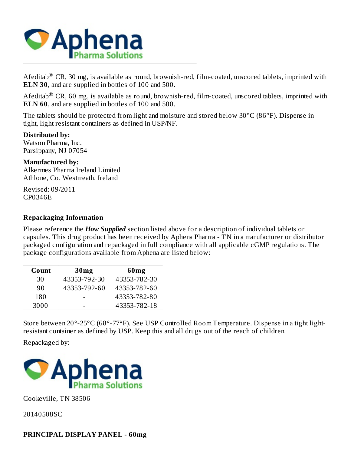

Afeditab $^{\circledR}$  CR, 30 mg, is available as round, brownish-red, film-coated, unscored tablets, imprinted with **ELN 30**, and are supplied in bottles of 100 and 500.

Afeditab $^{\circledR}$  CR, 60 mg, is available as round, brownish-red, film-coated, unscored tablets, imprinted with **ELN 60**, and are supplied in bottles of 100 and 500.

The tablets should be protected from light and moisture and stored below 30°C (86°F). Dispense in tight, light resistant containers as defined in USP/NF.

**Distributed by:** Watson Pharma, Inc. Parsippany, NJ 07054

**Manufactured by:** Alkermes Pharma Ireland Limited Athlone, Co. Westmeath, Ireland

Revised: 09/2011 CP0346E

#### **Repackaging Information**

Please reference the *How Supplied* section listed above for a description of individual tablets or capsules. This drug product has been received by Aphena Pharma - TN in a manufacturer or distributor packaged configuration and repackaged in full compliance with all applicable cGMP regulations. The package configurations available from Aphena are listed below:

| Count | 30 <sub>mg</sub> | 60 <sub>mg</sub> |
|-------|------------------|------------------|
| 30    | 43353-792-30     | 43353-782-30     |
| 90    | 43353-792-60     | 43353-782-60     |
| 180   |                  | 43353-782-80     |
| 3000  |                  | 43353-782-18     |

Store between 20°-25°C (68°-77°F). See USP Controlled Room Temperature. Dispense in a tight lightresistant container as defined by USP. Keep this and all drugs out of the reach of children.

Repackaged by:



Cookeville, TN 38506

20140508SC

#### **PRINCIPAL DISPLAY PANEL - 60mg**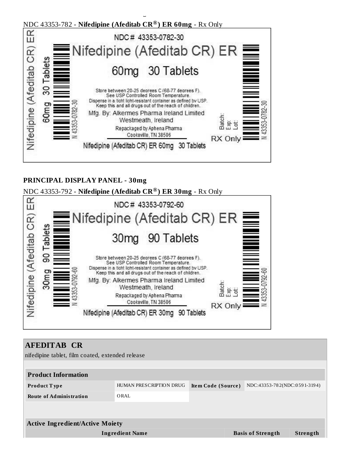

#### **PRINCIPAL DISPLAY PANEL - 30mg**

NDC 43353-792 - **Nifedipine (Afeditab CR ) ER 30mg** - Rx Only **®**



| <b>AFEDITAB CR</b>                               |                         |                    |  |                              |                 |
|--------------------------------------------------|-------------------------|--------------------|--|------------------------------|-----------------|
| nifedipine tablet, film coated, extended release |                         |                    |  |                              |                 |
|                                                  |                         |                    |  |                              |                 |
| <b>Product Information</b>                       |                         |                    |  |                              |                 |
| <b>Product Type</b>                              | HUMAN PRESCRIPTION DRUG | Item Code (Source) |  | NDC:43353-782(NDC:0591-3194) |                 |
| <b>Route of Administration</b>                   | ORAL                    |                    |  |                              |                 |
|                                                  |                         |                    |  |                              |                 |
|                                                  |                         |                    |  |                              |                 |
| <b>Active Ingredient/Active Moiety</b>           |                         |                    |  |                              |                 |
|                                                  | <b>Ingredient Name</b>  |                    |  | <b>Basis of Strength</b>     | <b>Strength</b> |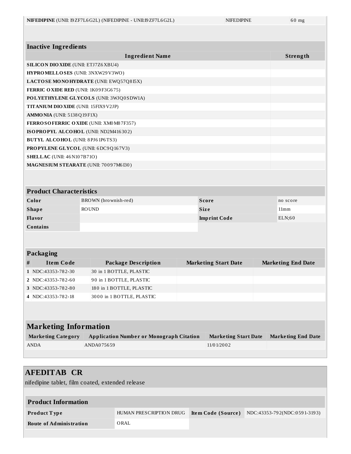| <b>NIFEDIPINE</b> (UNII: I9ZF7L6G2L) (NIFEDIPINE - UNII:I9ZF7L6G2L) | <b>NIFEDIPINE</b> | $60 \text{ mg}$ |
|---------------------------------------------------------------------|-------------------|-----------------|
|---------------------------------------------------------------------|-------------------|-----------------|

| <b>Inactive Ingredients</b>                  |                                         |                             |                           |
|----------------------------------------------|-----------------------------------------|-----------------------------|---------------------------|
|                                              | <b>Ingredient Name</b>                  |                             | Strength                  |
| <b>SILICON DIO XIDE (UNII: ETJ7Z6 XBU4)</b>  |                                         |                             |                           |
| HYPROMELLOSES (UNII: 3NXW29V3WO)             |                                         |                             |                           |
|                                              | LACTOSE MONOHYDRATE (UNII: EWQ57Q8I5X)  |                             |                           |
| FERRIC OXIDE RED (UNII: 1K09F3G675)          |                                         |                             |                           |
|                                              | POLYETHYLENE GLYCOLS (UNII: 3WJQ0SDW1A) |                             |                           |
| <b>TITANIUM DIO XIDE (UNII: 15FIX9 V2JP)</b> |                                         |                             |                           |
| $AMMO NIA$ (UNII: $5138Q19F1X$ )             |                                         |                             |                           |
|                                              | FERROSOFERRIC OXIDE (UNII: XM0M87F357)  |                             |                           |
|                                              | ISOPROPYL ALCOHOL (UNII: ND2M416302)    |                             |                           |
| <b>BUTYL ALCOHOL</b> (UNII: 8PJ61P6TS3)      |                                         |                             |                           |
|                                              | PROPYLENE GLYCOL (UNII: 6DC9Q167V3)     |                             |                           |
| <b>SHELLAC</b> (UNII: 46 N107B71O)           |                                         |                             |                           |
|                                              | MAGNESIUM STEARATE (UNII: 70097M6I30)   |                             |                           |
| <b>Product Characteristics</b>               |                                         |                             |                           |
| Color                                        | BROWN (brownish-red)                    | <b>Score</b>                | no score                  |
| <b>Shape</b>                                 | <b>ROUND</b>                            | <b>Size</b>                 | 11mm                      |
| Flavor                                       |                                         | <b>Imprint Code</b>         | ELN;60                    |
| <b>Contains</b>                              |                                         |                             |                           |
|                                              |                                         |                             |                           |
| Packaging                                    |                                         |                             |                           |
| <b>Item Code</b><br>#                        | <b>Package Description</b>              | <b>Marketing Start Date</b> | <b>Marketing End Date</b> |
| 1 NDC:43353-782-30                           | 30 in 1 BOTTLE, PLASTIC                 |                             |                           |
| NDC:43353-782-60<br>$\mathbf{2}$             | 90 in 1 BOTTLE, PLASTIC                 |                             |                           |
| 3 NDC:43353-782-80                           | 180 in 1 BOTTLE, PLASTIC                |                             |                           |
| 4 NDC:43353-782-18                           | 3000 in 1 BOTTLE, PLASTIC               |                             |                           |
|                                              |                                         |                             |                           |
|                                              |                                         |                             |                           |
|                                              |                                         |                             |                           |
| <b>Marketing Information</b>                 |                                         |                             |                           |

| <b>Marketing Category</b> | Application Number or Monograph Citation | <b>Marketing Start Date</b> | Marketing End Date |
|---------------------------|------------------------------------------|-----------------------------|--------------------|
| <b>ANDA</b>               | ANDA075659                               | 11/0 1/20 0 2               |                    |
|                           |                                          |                             |                    |

| <b>AFEDITAB CR</b><br>nifedipine tablet, film coated, extended release |                         |                    |                              |
|------------------------------------------------------------------------|-------------------------|--------------------|------------------------------|
| <b>Product Information</b>                                             |                         |                    |                              |
| Product Type                                                           | HUMAN PRESCRIPTION DRUG | Item Code (Source) | NDC:43353-792(NDC:0591-3193) |
| <b>Route of Administration</b>                                         | ORAL                    |                    |                              |
|                                                                        |                         |                    |                              |